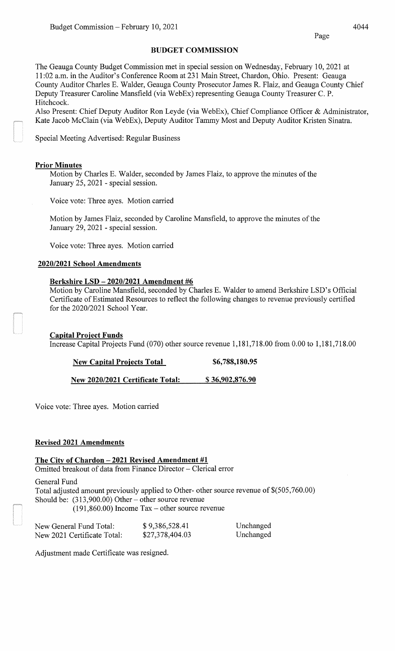Page

#### **BUDGET COMMISSION**

The Geauga County Budget Commission met in special session on Wednesday, February 10, 2021 at 11:02 a.m. in the Auditor's Conference Room at 231 Main Street, Chardon, Ohio. Present: Geauga County Auditor Charles E. Walder, Geauga County Prosecutor James R. Flaiz, and Geauga County Chief Deputy Treasurer Caroline Mansfield (via WebEx) representing Geauga County Treasurer C. P. Hitchcock.

Also Present: Chief Deputy Auditor Ron Leyde (via WebEx), Chief Compliance Officer & Administrator, Kate Jacob McClain (via WebEx), Deputy Auditor Tammy Most and Deputy Auditor Kristen Sinatra.

Special Meeting Advertised: Regular Business

## **Prior Minutes**

Motion by Charles E. Walder, seconded by James Flaiz, to approve the minutes of the January 25, 2021 - special session.

Voice vote: Three ayes. Motion carried

Motion by James Flaiz, seconded by Caroline Mansfield, to approve the minutes of the January 29, 2021 - special session.

Voice vote: Three ayes. Motion carried

# **2020/2021 School Amendments**

## **Berkshire LSD- 2020/2021 Amendment #6**

Motion by Caroline Mansfield, seconded by Charles E. Walder to amend Berkshire LSD's Official Certificate of Estimated Resources to reflect the following changes to revenue previously certified for the 2020/2021 School Year.

# **Capital Project Funds**

Increase Capital Projects Fund (070) other source revenue 1,181,718.00 from 0.00 to 1,181,718.00

**New Capital Projects Total \$6,788,180.95** 

**New 2020/2021 Certificate Total:** \$ **36,902,876.90** 

Voice vote: Three ayes. Motion carried

# **Revised 2021 Amendments**

**The City of Chardon- 2021 Revised Amendment #1** 

Omitted breakout of data from Finance Director - Clerical error

General Fund Total adjusted amount previously applied to Other- other source revenue of \$(505,760.00) Should be: (313,900.00) Other- other source revenue (191,860.00) Income Tax- other source revenue

| New General Fund Total:     | \$9,386,528.41  | Unchanged |
|-----------------------------|-----------------|-----------|
| New 2021 Certificate Total: | \$27,378,404.03 | Unchanged |

Adjustment made Certificate was resigned.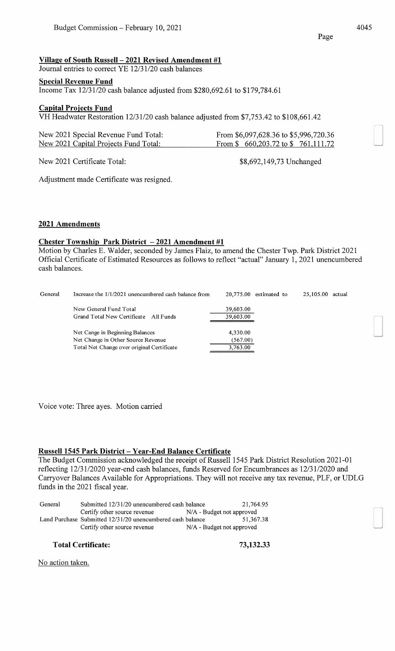\$8,692,149,73 Unchanged

## **Village of South Russell- 2021 Revised Amendment #1**

Journal entries to correct YE 12/31/20 cash balances

#### **Special Revenue Fund**

Income Tax 12/31/20 cash balance adjusted from \$280,692.61 to \$179,784.61

#### **Capital Projects Fund**

VH Headwater Restoration 12/31/20 cash balance adjusted from \$7,753.42 to \$108,661.42

| New 2021 Special Revenue Fund Total:  | From $$6,097,628.36$ to $$5,996,720.36$                     |
|---------------------------------------|-------------------------------------------------------------|
| New 2021 Capital Projects Fund Total: | From $\frac{1}{2}$ 660, 203.72 to $\frac{1}{2}$ 761, 111.72 |

New 2021 Certificate Total:

Adjustment made Certificate was resigned.

#### **2021 Amendments**

#### **Chester Township Park District - 2021 Amendment #1**

Motion by Charles E. Walder, seconded by James Flaiz, to amend the Chester Twp. Park District 2021 Official Certificate of Estimated Resources as follows to reflect "actual" January 1, 2021 unencumbered cash balances.

| General | Increase the 1/1/2021 unencumbered cash balance from | $20,775.00$ estimated to<br>25,105.00<br>actual |  |
|---------|------------------------------------------------------|-------------------------------------------------|--|
|         | New General Fund Total                               | 39,603.00                                       |  |
|         | Grand Total New Certificate All Funds                | 39,603.00                                       |  |
|         | Net Cange in Beginning Balances                      | 4,330.00                                        |  |
|         | Net Change in Other Source Revenue                   | (567.00)                                        |  |
|         | Total Net Change over original Certificate           | 3.763.00                                        |  |

Voice vote: Three ayes. Motion carried

#### **Russell1545 Park District-Year-End Balance Certificate**

The Budget Commission acknowledged the receipt of Russell 1545 Park District Resolution 2021-01 reflecting 12/31/2020 year-end cash balances, funds Reserved for Encumbrances as 12/31/2020 and Carryover Balances Available for Appropriations. They will not receive any tax revenue, PLF, or UDLG funds in the 2021 fiscal year.

| General | Submitted 12/31/20 unencumbered cash balance               |                             | 21,764.95 |
|---------|------------------------------------------------------------|-----------------------------|-----------|
|         | Certify other source revenue                               | $N/A$ - Budget not approved |           |
|         | Land Purchase Submitted 12/31/20 unencumbered cash balance |                             | 51.367.38 |
|         | Certify other source revenue                               | N/A - Budget not approved   |           |

#### **Total Certificate: 73,132.33**

No action taken.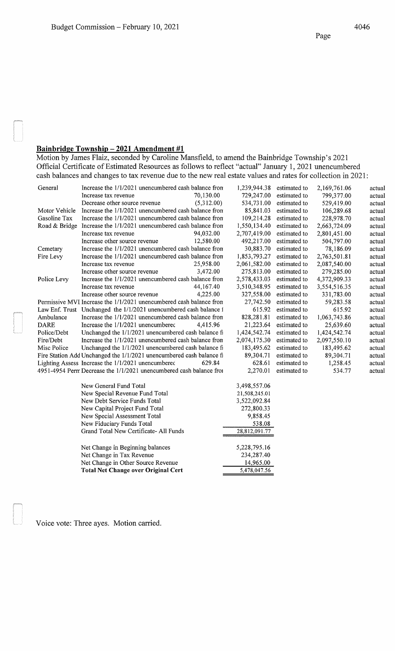# **Bainbridge Township- 2021 Amendment #1**

Motion by James Flaiz, seconded by Caroline Mansfield, to amend the Bainbridge Township's 2021 Official Certificate of Estimated Resources as follows to reflect "actual" January 1, 2021 unencumbered cash balances and changes to tax revenue due to the new real estate values and rates for collection in 2021:

| General       | Increase the 1/1/2021 unencumbered cash balance from                 |            | 1,239,944.38  | estimated to           | 2,169,761.06 | actual |
|---------------|----------------------------------------------------------------------|------------|---------------|------------------------|--------------|--------|
|               | Increase tax revenue                                                 | 70,130.00  | 729,247.00    | estimated to           | 799,377.00   | actual |
|               | Decrease other source revenue                                        | (5,312.00) | 534,731.00    | estimated to           | 529,419.00   | actual |
| Motor Vehicle | Increase the 1/1/2021 unencumbered cash balance from                 |            | 85,841.03     | estimated to           | 106,289.68   | actual |
| Gasoline Tax  | Increase the 1/1/2021 unencumbered cash balance from                 |            | 109,214.28    | estimated to           | 228,978.70   | actual |
| Road & Bridge | Increase the 1/1/2021 unencumbered cash balance from                 |            | 1,550,134.40  | estimated to           | 2,663,724.09 | actual |
|               | Increase tax revenue                                                 | 94,032.00  | 2,707,419.00  | estimated to           | 2,801,451.00 | actual |
|               | Increase other source revenue                                        | 12,580.00  | 492,217.00    | estimated to           | 504,797.00   | actual |
| Cemetary      | Increase the 1/1/2021 unencumbered cash balance from                 |            |               | 30,883.70 estimated to | 78,186.09    | actual |
| Fire Levy     | Increase the 1/1/2021 unencumbered cash balance from                 |            | 1,853,793.27  | estimated to           | 2,763,501.81 | actual |
|               | Increase tax revenue                                                 | 25,958.00  | 2,061,582.00  | estimated to           | 2,087,540.00 | actual |
|               | Increase other source revenue                                        | 3,472.00   | 275,813.00    | estimated to           | 279,285.00   | actual |
| Police Levy   | Increase the 1/1/2021 unencumbered cash balance from                 |            | 2,578,433.03  | estimated to           | 4,372,909.33 | actual |
|               | Increase tax revenue                                                 | 44,167.40  | 3,510,348.95  | estimated to           | 3,554,516.35 | actual |
|               | Increase other source revenue                                        | 4,225.00   | 327,558.00    | estimated to           | 331,783.00   | actual |
|               | Permissive MVI Increase the 1/1/2021 unencumbered cash balance from  |            | 27,742.50     | estimated to           | 59,283.58    | actual |
|               | Law Enf. Trust Unchanged the 1/1/2021 unencumbered cash balance i    |            | 615.92        | estimated to           | 615.92       | actual |
| Ambulance     | Increase the 1/1/2021 unencumbered cash balance from                 |            | 828,281.81    | estimated to           | 1,063,743.86 | actual |
| <b>DARE</b>   | Increase the 1/1/2021 unencumbered                                   | 4,415.96   | 21,223.64     | estimated to           | 25,639.60    | actual |
| Police/Debt   | Unchanged the 1/1/2021 unencumbered cash balance fi                  |            | 1,424,542.74  | estimated to           | 1,424,542.74 | actual |
| Fire/Debt     | Increase the 1/1/2021 unencumbered cash balance from                 |            | 2,074,175.30  | estimated to           | 2,097,550.10 | actual |
| Misc Police   | Unchanged the 1/1/2021 unencumbered cash balance fi                  |            | 183,495.62    | estimated to           | 183,495.62   | actual |
|               | Fire Station Add Unchanged the 1/1/2021 unencumbered cash balance fi |            | 89,304.71     | estimated to           | 89,304.71    | actual |
|               | Lighting Assess Increase the 1/1/2021 unencumbered                   | 629.84     | 628.61        | estimated to           | 1,258.45     | actual |
|               | 4951-4954 Perm Decrease the 1/1/2021 unencumbered cash balance from  |            | 2,270.01      | estimated to           | 534.77       | actual |
|               | New General Fund Total                                               |            | 3,498,557.06  |                        |              |        |
|               | New Special Revenue Fund Total                                       |            | 21,508,245.01 |                        |              |        |
|               | New Debt Service Funds Total                                         |            | 3,522,092.84  |                        |              |        |
|               | New Capital Project Fund Total                                       |            | 272,800.33    |                        |              |        |
|               | New Special Assessment Total                                         |            | 9,858.45      |                        |              |        |
|               | New Fiduciary Funds Total                                            |            | 538.08        |                        |              |        |
|               | Grand Total New Certificate- All Funds                               |            | 28,812,091.77 |                        |              |        |
|               | Net Change in Beginning balances                                     |            | 5,228,795.16  |                        |              |        |
|               | Net Change in Tax Revenue                                            |            | 234,287.40    |                        |              |        |
|               | Net Change in Other Source Revenue                                   |            | 14,965.00     |                        |              |        |
|               | <b>Total Net Change over Original Cert</b>                           |            | 5,478,047.56  |                        |              |        |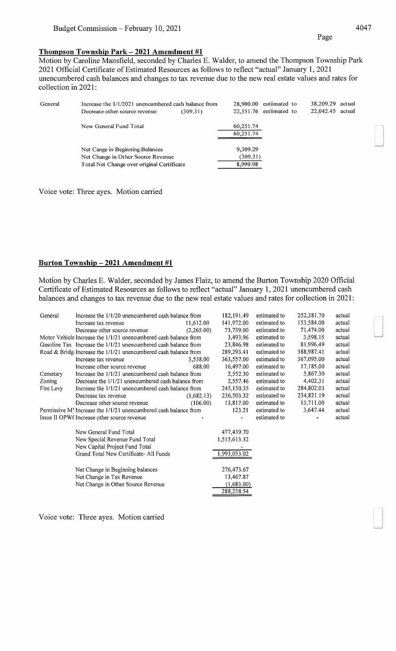#### **Thompson Township Park- 2021 Amendment #1**

Motion by Caroline Mansfield, seconded by Charles E. Walder, to amend the Thompson Township Park 2021 Official Certificate of Estimated Resources as follows to reflect "actual" January 1, 2021 unencumbered cash balances and changes to tax revenue due to the new real estate values and rates for collection in 2021:

| General | Increase the 1/1/2021 unencumbered cash balance from<br>Decrease other source revenue                               | (309.31) |                                  | $28,900.00$ estiimated to<br>$22.351.76$ estiimated to | 38,209.29<br>22,042.45 | actual<br>actual |
|---------|---------------------------------------------------------------------------------------------------------------------|----------|----------------------------------|--------------------------------------------------------|------------------------|------------------|
|         | New General Fund Total                                                                                              |          | 60,251.74<br>60,251.74           |                                                        |                        |                  |
|         | Net Cange in Beginning Balances<br>Net Change in Other Source Revenue<br>Total Net Change over original Certificate |          | 9.309.29<br>(309.31)<br>8,999.98 |                                                        |                        |                  |

Voice vote: Three ayes. Motion carried

#### **Burton Township- 2021 Amendment #1**

Motion by Charles E. Walder, seconded by James Flaiz, to amend the Burton Township 2020 Official Certificate of Estimated Resources as follows to reflect "actual" January 1, 2021 unencumbered cash balances and changes to tax revenue due to the new real estate values and rates for collection in 2021:

| General   | Increase the 1/1/20 unencumbered cash balance from                 |            | 182, 191.49  | estimated to | 252,381.70 | actual |
|-----------|--------------------------------------------------------------------|------------|--------------|--------------|------------|--------|
|           | Increase tax revenue                                               | 11.612.00  | 141,972.00   | estimated to | 153,584.00 | actual |
|           | Decrease other source revenue                                      | (2,265.00) | 73,739.00    | estimated to | 71,474.00  | actual |
|           | Motor Vehicle Increase the $1/1/21$ unencumbered cash balance from |            | 3,493.96     | estimated to | 3,598.15   | actual |
|           | Gasoline Tax Increase the 1/1/21 unencumbered cash balance from    |            | 23,846.98    | estimated to | 81,996.49  | actual |
|           | Road & Bridge Increase the 1/1/21 unencumbered cash balance from   |            | 289,293.41   | estimated to | 388,987.41 | actual |
|           | Increase tax revenue                                               | 3,538.00   | 363,557.00   | estimated to | 367,095.00 | actual |
|           | Increase other source revenue                                      | 688.00     | 16,497.00    | estimated to | 17,185.00  | actual |
| Cemetary  | Increase the 1/1/21 unencumbered cash balance from                 |            | 2,552.30     | estimated to | 5,867.30   | actual |
| Zoning    | Decrease the 1/1/21 unencumbered cash balance from                 |            | 2,557.46     | estimated to | 4,402.31   | actual |
| Fire Levy | Increase the $1/1/21$ unencumbered cash balance from               |            | 245,150.35   | estimated to | 284,802.03 | actual |
|           | Decrease tax revenue                                               | (1,682.13) | 236,503.32   | estimated to | 234,821.19 | actual |
|           | Decrease other source revenue                                      | (106.00)   | 13,817.00    | estimated to | 13,711.00  | actual |
|           | Permissive M Increase the 1/1/21 unencumbered cash balance from    |            | 123.21       | estimated to | 3,647.44   | actual |
|           | Issue II OPW (Increase other source revenue                        |            |              | estimated to |            | actual |
|           | New General Fund Total                                             |            | 477,439.70   |              |            |        |
|           | New Special Revenue Fund Total                                     |            | 1,515,613.32 |              |            |        |
|           | New Capital Project Fund Total                                     |            |              |              |            |        |
|           | Grand Total New Certificate-All Funds                              |            | 1,993,053.02 |              |            |        |
|           | Net Change in Beginning balances                                   |            | 276,473.67   |              |            |        |
|           | Net Change in Tax Revenue                                          |            | 13,467.87    |              |            |        |
|           | Net Change in Other Source Revenue                                 |            | (1,683.00)   |              |            |        |
|           |                                                                    |            | 288,258.54   |              |            |        |
|           |                                                                    |            |              |              |            |        |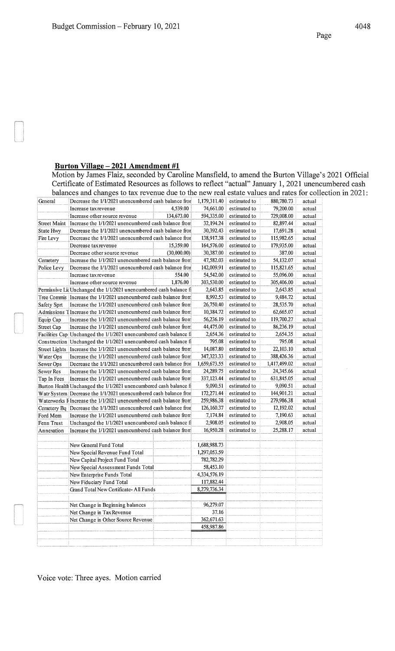# **Burton Village- 2021 Amendment #1**

Motion by James Flaiz, seconded by Caroline Mansfield, to amend the Burton Village's 2021 Official Certificate of Estimated Resources as follows to reflect "actual" January 1, 2021 unencumbered cash balances and changes to tax revenue due to the new real estate values and rates for collection in 2021:

|                     | balances and changes to tax revenue due to the new real estate values and rates for cont |             |              |              |              |        |
|---------------------|------------------------------------------------------------------------------------------|-------------|--------------|--------------|--------------|--------|
| General             | Decrease the 1/1/2021 unencumbered cash balance from                                     |             | 1,179,311.40 | estimated to | 880,780.73   | actual |
|                     | Increase tax revenue                                                                     | 4,539.00    | 74,661.00    | estimated to | 79,200.00    | actual |
|                     | Increase other source revenue                                                            | 134,673.00  | 594,335.00   | estimated to | 729,008.00   | actual |
| <b>Street Maint</b> | Increase the 1/1/2021 unencumbered cash balance from                                     |             | 32,194.24    | estimated to | 82,897.44    | actual |
| State Hwy           | Decrease the 1/1/2021 unencumbered cash balance from                                     |             | 30,392.43    | estimated to | 17,691.28    | actual |
| Fire Levy           | Decrease the 1/1/2021 unencumbered cash balance from                                     |             | 138,917.38   | estimated to | 115,982.65   | actual |
|                     | Decrease tax revenue                                                                     | 15,359.00   | 164,576.00   | estimated to | 179,935.00   | actual |
|                     | Decrease other source revenue                                                            | (30,000.00) | 30,387.00    | estimated to | 387.00       | actual |
| Cemetery            | Increase the 1/1/2021 unencumbered cash balance from                                     |             | 47,582.03    | estimated to | 54,132.07    | actual |
| Police Levy         | Decrease the 1/1/2021 unencumbered cash balance from                                     |             | 142,009.91   | estimated to | 115,821.65   | actual |
|                     | Increase tax revenue                                                                     | 554.00      | 54,542.00    | estimated to | 55,096.00    | actual |
|                     | Increase other source revenue                                                            | 1,876.00    | 303,530.00   | estimated to | 305,406.00   | actual |
|                     | Permissive LidUnchanged the 1/1/2021 unencumbered cash balance fi                        |             | 2,643.85     | estimated to | 2,643.85     | actual |
|                     | Tree Commis Increase the 1/1/2021 unencumbered cash balance from                         |             | 8,992.53     | estimated to | 9,484.72     | actual |
| Safety Sprt         | Increase the 1/1/2021 unencumbered cash balance from                                     |             | 26,750.40    | estimated to | 28,535.70    | actual |
|                     | Admissions TIncrease the 1/1/2021 unencumbered cash balance from                         |             | 10,384.72    | estimated to | 62,665.07    | actual |
| Equip Cap           | Increase the 1/1/2021 unencumbered cash balance from                                     |             | 56,236.19    | estimated to | 119,700.27   | actual |
| <b>Street Cap</b>   | Increase the 1/1/2021 unencumbered cash balance from                                     |             | 44,475.00    | estimated to | 86,236.19    | actual |
|                     | Facilities Cap Unchanged the 1/1/2021 unencumbered cash balance fi                       |             | 2,654.36     | estimated to | 2,654.35     | actual |
|                     | Construction Unchanged the $1/1/2021$ unencumbered cash balance figure.                  |             | 795.08       | estimated to | 795.08       | actual |
|                     | Street Lights Increase the 1/1/2021 unencumbered cash balance from                       |             | 14,087.80    | estimated to | 22,103.10    | actual |
| Water Ops           | Increase the 1/1/2021 unencumbered cash balance from                                     |             | 347,323.33   | estimated to | 388,426.36   | actual |
| Sewer Ops           | Decrease the 1/1/2021 unencumbered cash balance from                                     |             | 1,659,673.55 | estimated to | 1,417,499.02 | actual |
| Sewer Res           | Increase the 1/1/2021 unencumbered cash balance from                                     |             | 24,289.75    | estimated to | 24,345.66    | actual |
| Tap In Fees         | Increase the 1/1/2021 unencumbered cash balance from                                     |             | 337,123.44   | estimated to | 631,845.05   | actual |
|                     | Burton Health Unchanged the 1/1/2021 unencumbered cash balance fi                        |             | 9,090.51     | estimated to | 9,090.51     | actual |
|                     | Watr System Decrease the 1/1/2021 unencumbered cash balance from                         |             | 172,271.44   | estimated to | 144,901.21   | actual |
|                     | Waterworks FIncrease the 1/1/2021 unencumbered cash balance from                         |             | 259,986.38   | estimated to | 279,986.38   | actual |
|                     | Cemetery Bq Decrease the 1/1/2021 unencumbered cash balance from                         |             | 126,160.37   | estimated to | 12,192.02    | actual |
| Ford Mem            | Increase the 1/1/2021 unencumbered cash balance from                                     |             | 7,174.84     | estimated to | 7,190.63     | actual |
| Fenn Trust          | Unchanged the 1/1/2021 unencumbered cash balance fi                                      |             | 2,908.05     | estimated to | 2,908.05     | actual |
| Annexation          | Increase the 1/1/2021 unencumbered cash balance from                                     |             | 16,950.28    | estimated to | 25,288.17    | actual |
|                     |                                                                                          |             |              |              |              |        |
|                     | New General Fund Total                                                                   |             | 1,688,988.73 |              |              |        |
|                     | New Special Revenue Fund Total                                                           |             | 1,297,053.59 |              |              |        |
|                     | New Capital Project Fund Total                                                           |             | 782,782.29   |              |              |        |
|                     | New Special Assessment Funds Total                                                       |             | 58,453.10    |              |              |        |
|                     | New Enterprise Funds Total                                                               |             | 4,334,576.19 |              |              |        |
|                     | New Fiduciary Fund Total                                                                 |             | 117.882.44   |              |              |        |
|                     | Grand Total New Certificate-All Funds                                                    |             | 8,279,736.34 |              |              |        |
|                     |                                                                                          |             |              |              |              |        |
|                     | Net Change in Beginning balances                                                         |             | 96,279.07    |              |              |        |
|                     | Net Change in Tax Revenue                                                                |             | 37.16        |              |              |        |
|                     | Net Change in Other Source Revenue                                                       |             | 362,671.63   |              |              |        |
|                     |                                                                                          |             | 458,987.86   |              |              |        |
|                     |                                                                                          |             |              |              |              |        |
|                     |                                                                                          |             |              |              |              |        |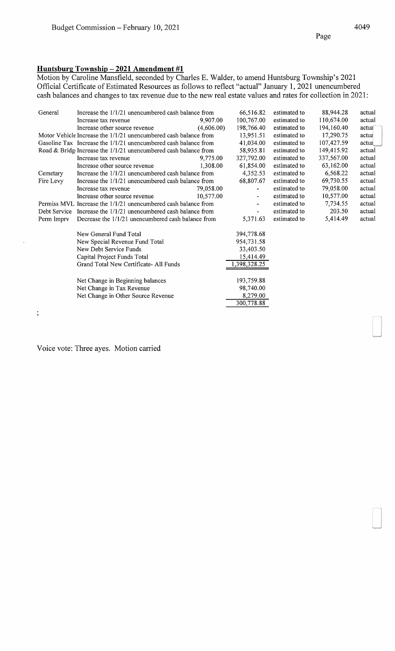## **Huntsburg Township- 2021 Amendment #1**

Motion by Caroline Mansfield, seconded by Charles E. Walder, to amend Huntsburg Township's 2021 Official Certificate of Estimated Resources as follows to reflect "actual" January 1, 2021 unencumbered cash balances and changes to tax revenue due to the new real estate values and rates for collection in 2021:

| General        | Increase the $1/1/21$ unencumbered cash balance from              |            | 66,516.82                    | estimated to | 88,944.28  | actual |
|----------------|-------------------------------------------------------------------|------------|------------------------------|--------------|------------|--------|
|                | Increase tax revenue                                              | 9,907.00   | 100,767.00                   | estimated to | 110,674.00 | actual |
|                | Increase other source revenue                                     | (4,606.00) | 198,766.40                   | estimated to | 194,160.40 | actua  |
|                | Motor Vehicle Increase the 1/1/21 unencumbered cash balance from  |            | 13,951.51                    | estimated to | 17,290.75  | actua  |
|                | Gasoline Tax Increase the 1/1/21 unencumbered cash balance from   |            | 41,034.00                    | estimated to | 107,427.59 | actua  |
|                | Road & Bridg Increase the $1/1/21$ unencumbered cash balance from |            | 58,935.81                    | estimated to | 149,415.92 | actual |
|                | Increase tax revenue                                              | 9,775.00   | 327,792.00                   | estimated to | 337,567.00 | actual |
|                | Increase other source revenue                                     | 1.308.00   | 61,854.00                    | estimated to | 63,162.00  | actual |
| Cemetary       | Increase the 1/1/21 unencumbered cash balance from                |            | 4,352.53                     | estimated to | 6,568.22   | actual |
| Fire Levy      | Increase the 1/1/21 unencumbered cash balance from                |            | 68,807.67                    | estimated to | 69,730.55  | actual |
|                | Increase tax revenue                                              | 79,058.00  |                              | estimated to | 79,058.00  | actual |
|                | Increase other source revenue                                     | 10,577.00  | $\qquad \qquad \blacksquare$ | estimated to | 10,577.00  | actual |
|                | Permiss MVL Increase the 1/1/21 unencumbered cash balance from    |            | $\qquad \qquad \blacksquare$ | estimated to | 7,734.55   | actual |
|                | Debt Service Increase the $1/1/21$ unencumbered cash balance from |            | $\qquad \qquad \blacksquare$ | estimated to | 203.50     | actual |
| Perm Imprv     | Decrease the 1/1/21 unencumbered cash balance from                |            | 5,371.63                     | estimated to | 5,414.49   | actual |
|                | New General Fund Total                                            |            | 394,778.68                   |              |            |        |
|                | New Special Revenue Fund Total                                    |            | 954,731.58                   |              |            |        |
|                | New Debt Service Funds                                            |            | 33,403.50                    |              |            |        |
|                | Capital Project Funds Total                                       |            | 15,414.49                    |              |            |        |
|                | Grand Total New Certificate- All Funds                            |            | 1,398,328.25                 |              |            |        |
|                |                                                                   |            | 193,759.88                   |              |            |        |
|                | Net Change in Beginning balances                                  |            | 98,740.00                    |              |            |        |
|                | Net Change in Tax Revenue                                         |            |                              |              |            |        |
|                | Net Change in Other Source Revenue                                |            | 8,279.00<br>300,778.88       |              |            |        |
|                |                                                                   |            |                              |              |            |        |
| $\overline{ }$ |                                                                   |            |                              |              |            |        |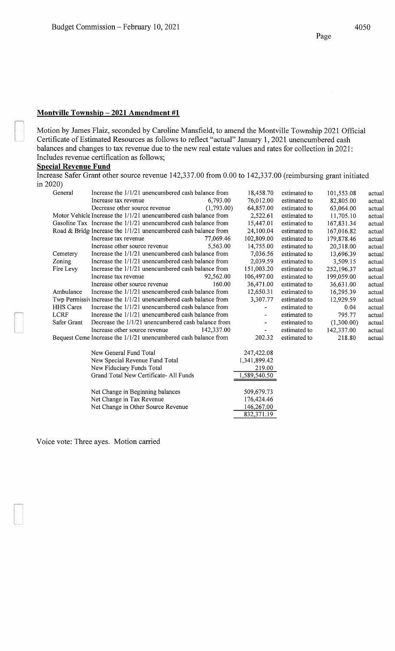# **Montville Township- 2021 Amendment #1**

Motion by James Flaiz, seconded by Caroline Mansfield, to amend the Montville Township 2021 Official Certificate of Estimated Resources as follows to reflect "actual" January 1, 2021 unencumbered cash balances and changes to tax revenue due to the new real estate values and rates for collection in 2021: Includes revenue certification as follows;

# **Special Revenue Fund**

Increase Safer Grant other source revenue 142,337.00 from 0.00 to 142,337.00 (reimbursing grant initiated in 2020)

| General          | Increase the $1/1/21$ unencumbered cash balance from               |            | 18,458.70                | estimated to | 101,553.08 | actual |
|------------------|--------------------------------------------------------------------|------------|--------------------------|--------------|------------|--------|
|                  | Increase tax revenue                                               | 6,793.00   | 76,012.00                | estimated to | 82,805.00  | actual |
|                  | Decrease other source revenue                                      | (1,793.00) | 64,857.00                | estimated to | 63,064.00  | actual |
|                  | Motor Vehicle Increase the 1/1/21 unencumbered cash balance from   |            | 2,522.61                 | estimated to | 11,705.10  | actual |
|                  | Gasoline Tax Increase the 1/1/21 unencumbered cash balance from    |            | 15,447.01                | estimated to | 167,831.34 | actual |
|                  | Road & Bridge Increase the $1/1/21$ unencumbered cash balance from |            | 24,100.04                | estimated to | 167,016.82 | actual |
|                  | Increase tax revenue                                               | 77,069.46  | 102,809.00               | estimated to | 179,878.46 | actual |
|                  | Increase other source revenue                                      | 5.563.00   | 14,755.00                | estimated to | 20,318.00  | actual |
| Cemetery         | Increase the $1/1/21$ unencumbered cash balance from               |            | 7,036.56                 | estimated to | 13,696.39  | actual |
| Zoning           | Increase the 1/1/21 unencumbered cash balance from                 |            | 2,039.59                 | estimated to | 3,509.15   | actual |
| Fire Levy        | Increase the 1/1/21 unencumbered cash balance from                 |            | 151,003.20               | estimated to | 252,196.37 | actual |
|                  | Increase tax revenue                                               | 92,562.00  | 106,497.00               | estimated to | 199,059.00 | actual |
|                  | Increase other source revenue                                      | 160.00     | 36,471.00                | estimated to | 36,631.00  | actual |
| Ambulance        | Increase the $1/1/21$ unencumbered cash balance from               |            | 12,650.31                | estimated to | 16,295.39  | actual |
|                  | Twp Permissiv Increase the 1/1/21 unencumbered cash balance from   |            | 3,307.77                 | estimated to | 12,929.59  | actual |
| <b>HHS</b> Cares | Increase the $1/1/21$ unencumbered cash balance from               |            | -                        | estimated to | 0.04       | actual |
| <b>LCRF</b>      | Increase the $1/1/21$ unencumbered cash balance from               |            |                          | estimated to | 795.77     | actual |
| Safer Grant      | Decrease the $1/1/21$ unencumbered cash balance from               |            | -                        | estimated to | (1,300.00) | actual |
|                  | Increase other source revenue                                      | 142,337.00 | $\overline{\phantom{0}}$ | estimated to | 142,337.00 | actual |
|                  | Bequest Ceme Increase the 1/1/21 unencumbered cash balance from    |            | 202.32                   | estimated to | 218.80     | actual |
|                  | New General Fund Total                                             |            | 247,422.08               |              |            |        |
|                  | New Special Revenue Fund Total                                     |            | 1,341,899.42             |              |            |        |
|                  | New Fiduciary Funds Total                                          |            | 219.00                   |              |            |        |
|                  | Grand Total New Certificate-All Funds                              |            | 1,589,540.50             |              |            |        |
|                  | Net Change in Beginning balances                                   |            | 509,679.73               |              |            |        |
|                  | Net Change in Tax Revenue                                          |            | 176,424.46               |              |            |        |
|                  | Net Change in Other Source Revenue                                 |            | 146,267.00               |              |            |        |
|                  |                                                                    |            | 832,371.19               |              |            |        |
|                  |                                                                    |            |                          |              |            |        |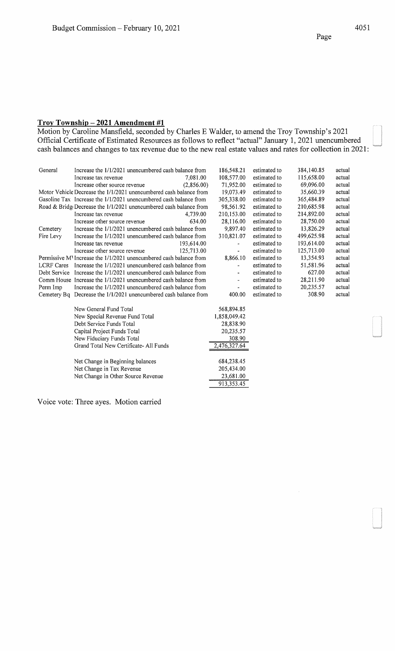Motion by Caroline Mansfield, seconded by Charles E Walder, to amend the Troy Township's 2021 Official Certificate of Estimated Resources as follows to reflect "actual" January 1, 2021 unencumbered cash balances and changes to tax revenue due to the new real estate values and rates for collection in 2021:

| General      | Increase the 1/1/2021 unencumbered cash balance from               | 186,548.21          | estimated to | 384,140.85 | actual |
|--------------|--------------------------------------------------------------------|---------------------|--------------|------------|--------|
|              | 7.081.00<br>Increase tax revenue                                   | 108,577.00          | estimated to | 115,658.00 | actual |
|              | Increase other source revenue<br>(2,856.00)                        | 71,952.00           | estimated to | 69,096.00  | actual |
|              | Motor Vehicle Decrease the 1/1/2021 unencumbered cash balance from | 19,073.49           | estimated to | 35,660.39  | actual |
|              | Gasoline Tax Increase the 1/1/2021 unencumbered cash balance from  | 305,338.00          | estimated to | 365,484.89 | actual |
|              | Road & BridgeDecrease the 1/1/2021 unencumbered cash balance from  | 98,561.92           | estimated to | 210,685.98 | actual |
|              | 4.739.00<br>Increase tax revenue                                   | 210,153.00          | estimated to | 214,892.00 | actual |
|              | Increase other source revenue                                      | 28,116.00<br>634.00 | estimated to | 28,750.00  | actual |
| Cemetery     | Increase the 1/1/2021 unencumbered cash balance from               | 9,897.40            | estimated to | 13,826.29  | actual |
| Fire Levy    | Increase the 1/1/2021 unencumbered cash balance from               | 310,821.07          | estimated to | 499,625.98 | actual |
|              | 193,614.00<br>Increase tax revenue                                 |                     | estimated to | 193,614.00 | actual |
|              | 125,713.00<br>Increase other source revenue                        |                     | estimated to | 125,713.00 | actual |
|              | Permissive M Increase the 1/1/2021 unencumbered cash balance from  | 8,866.10            | estimated to | 13,354.93  | actual |
|              | LCRF Cares Increase the 1/1/2021 unencumbered cash balance from    |                     | estimated to | 51,581.96  | actual |
| Debt Service | Increase the 1/1/2021 unencumbered cash balance from               |                     | estimated to | 627.00     | actual |
|              | Comm House Increase the 1/1/2021 unencumbered cash balance from    |                     | estimated to | 28,211.90  | actual |
| Perm Imp     | Increase the 1/1/2021 unencumbered cash balance from               |                     | estimated to | 20,235.57  | actual |
|              | Cemetery Bq Decrease the 1/1/2021 unencumbered cash balance from   | 400.00              | estimated to | 308.90     | actual |
|              |                                                                    |                     |              |            |        |
|              | New General Fund Total                                             | 568,894.85          |              |            |        |
|              | New Special Revenue Fund Total                                     | 1,858,049.42        |              |            |        |
|              | Debt Service Funds Total                                           | 28,838.90           |              |            |        |
|              | Capital Project Funds Total                                        | 20,235.57           |              |            |        |
|              | New Fiduciary Funds Total                                          | 308.90              |              |            |        |
|              | Grand Total New Certificate- All Funds                             | 2,476,327.64        |              |            |        |
|              |                                                                    |                     |              |            |        |
|              | Net Change in Beginning balances                                   | 684,238.45          |              |            |        |
|              | Net Change in Tax Revenue                                          | 205,434.00          |              |            |        |
|              | Net Change in Other Source Revenue                                 | 23,681.00           |              |            |        |
|              |                                                                    | 913,353.45          |              |            |        |
|              |                                                                    |                     |              |            |        |

Voice vote: Three ayes. Motion carried

Page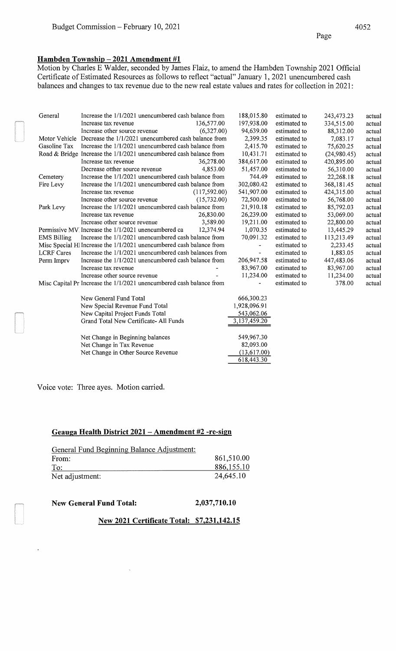## **Hambden Township- 2021 Amendment #1**

Motion by Charles E Walder, seconded by James Flaiz, to amend the Hambden Township 2021 Official Certificate of Estimated Resources as follows to reflect "actual" January 1, 2021 unencumbered cash balances and changes to tax revenue due to the new real estate values and rates for collection in 2021:

| General            | Increase the 1/1/2021 unencumbered cash balance from                 | 188,015.80     | estimated to | 243,473.23  | actual |
|--------------------|----------------------------------------------------------------------|----------------|--------------|-------------|--------|
|                    | 136,577.00<br>Increase tax revenue                                   | 197,938.00     | estimated to | 334,515.00  | actual |
|                    | Increase other source revenue<br>(6,327.00)                          | 94,639.00      | estimated to | 88,312.00   | actual |
|                    | Motor Vehicle Decrease the 1/1/2021 unencumbered cash balance from   | 2,399.35       | estimated to | 7,083.17    | actual |
| Gasoline Tax       | Increase the 1/1/2021 unencumbered cash balance from                 | 2,415.70       | estimated to | 75,620.25   | actual |
|                    | Road & Bridge Increase the 1/1/2021 unencumbered cash balance from   | 10,431.71      | estimated to | (24,980.45) | actual |
|                    | 36,278.00<br>Increase tax revenue                                    | 384,617.00     | estimated to | 420,895.00  | actual |
|                    | Decrease otther source revenue<br>4,853.00                           | 51,457.00      | estimated to | 56,310.00   | actual |
| Cemetery           | Increase the 1/1/2021 unencumbered cash balance from                 | 744.49         | estimated to | 22,268.18   | actual |
| Fire Levy          | Increase the 1/1/2021 unencumbered cash balance from                 | 302,080.42     | estimated to | 368,181.45  | actual |
|                    | (117,592.00)<br>Increase tax revenue                                 | 541,907.00     | estimated to | 424,315.00  | actual |
|                    | Increase other source revenue<br>(15,732.00)                         | 72,500.00      | estimated to | 56,768.00   | actual |
| Park Levy          | Increase the 1/1/2021 unencumbered cash balance from                 | 21,910.18      | estimated to | 85,792.03   | actual |
|                    | 26,830.00<br>Increase tax revenue                                    | 26,239.00      | estimated to | 53,069.00   | actual |
|                    | 3,589.00<br>Increase other source revenue                            | 19,211.00      | estimated to | 22,800.00   | actual |
|                    | Permissive MV Increase the 1/1/2021 unencumbered ca 12,374.94        | 1,070.35       | estimated to | 13,445.29   | actual |
| <b>EMS Billing</b> | Increase the 1/1/2021 unencumbered cash balance from                 | 70,091.32      | estimated to | 113,213.49  | actual |
|                    | Misc Special Hl Increase the 1/1/2021 unencumbered cash balance from | $\blacksquare$ | estimated to | 2,233.45    | actual |
| <b>LCRF</b> Cares  | Increase the 1/1/2021 unencumbered cash balances from                |                | estimated to | 1,883.05    | actual |
| Perm Imprv         | Increase the 1/1/2021 unencumbered cash balance from                 | 206,947.58     | estimated to | 447,483.06  | actual |
|                    | Increase tax revenue                                                 | 83,967.00      | estimated to | 83,967.00   | actual |
|                    | Increase other source revenue                                        | 11,234.00      | estimated to | 11,234.00   | actual |
|                    | Misc Capital Pr Increase the 1/1/2021 unencumbered cash balance from | -              | estimated to | 378.00      | actual |
|                    | New General Fund Total                                               | 666,300.23     |              |             |        |
|                    | New Special Revenue Fund Total                                       | 1,928,096.91   |              |             |        |
|                    | New Capital Project Funds Total                                      | 543,062.06     |              |             |        |
|                    | Grand Total New Certificate-All Funds                                | 3,137,459.20   |              |             |        |
|                    | Net Change in Beginning balances                                     | 549,967.30     |              |             |        |
|                    | Net Change in Tax Revenue                                            | 82,093.00      |              |             |        |
|                    | Net Change in Other Source Revenue                                   | (13,617.00)    |              |             |        |

618,443.30

Voice vote: Three ayes. Motion carried.

#### **Geauga Health District 2021 -Amendment #2 -re-sign**

| General Fund Beginning Balance Adjustment: |            |
|--------------------------------------------|------------|
| From:                                      | 861,510.00 |
| To:                                        | 886,155.10 |
| Net adjustment:                            | 24,645.10  |

#### **New General Fund Total: 2,037,710.10**

 $\mathbf{q}$ 

 $\ddot{\phantom{a}}$ 

#### **New 2021 Certificate Total: \$7,231,142.15**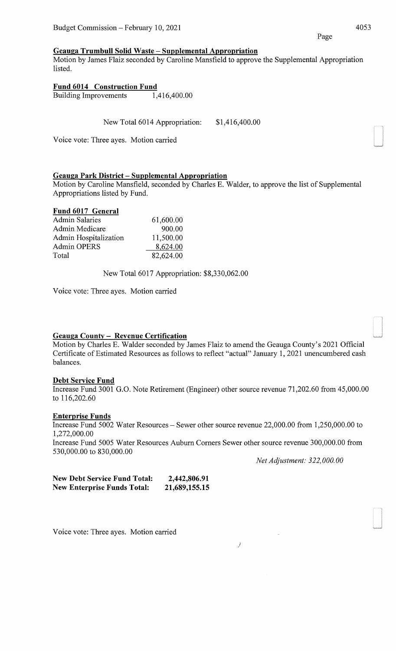#### **Geauga Trumbull Solid Waste - Supplemental Appropriation**

Motion by James Flaiz seconded by Caroline Mansfield to approve the Supplemental Appropriation listed.

# **Fund 6014 Construction Fund**

Building Improvements 1,416,400.00

New Total 6014 Appropriation: \$1,416,400.00

Voice vote: Three ayes. Motion carried

# **Geauga Park District - Supplemental Appropriation**

Motion by Caroline Mansfield, seconded by Charles E. Walder, to approve the list of Supplemental Appropriations listed by Fund.

#### **Fund 6017 General**

| 61,600.00 |
|-----------|
| 900.00    |
| 11,500.00 |
| 8,624.00  |
| 82,624.00 |
|           |

New Total6017 Appropriation: \$8,330,062.00

Voice vote: Three ayes. Motion carried

# **Geauga County - Revenue Certification**

Motion by Charles E. Walder seconded by James Flaiz to amend the Geauga County's 2021 Official Certificate of Estimated Resources as follows to reflect "actual" January 1, 2021 unencumbered cash balances.

#### **Debt Service Fund**

Increase Fund 3001 G.O. Note Retirement (Engineer) other source revenue 71,202.60 from 45,000.00 to 116,202.60

#### **Enterprise Funds**

530,000.00 to 830,000.00

Increase Fund 5002 Water Resources- Sewer other source revenue 22,000.00 from 1,250,000.00 to 1,272,000.00 Increase Fund 5005 Water Resources Auburn Comers Sewer other source revenue 300,000.00 from

/

*Net Adjustment: 322,000.00* 

| <b>New Debt Service Fund Total:</b> | 2,442,806.91  |
|-------------------------------------|---------------|
| <b>New Enterprise Funds Total:</b>  | 21,689,155.15 |

Voice vote: Three ayes. Motion carried

Page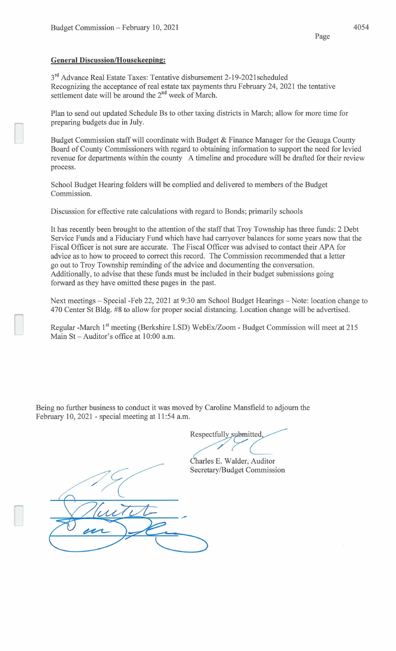#### **General Discussion/Housekeeping:**

3<sup>rd</sup> Advance Real Estate Taxes: Tentative disbursement 2-19-2021scheduled Recognizing the acceptance of real estate tax payments thru February 24, 2021 the tentative settlement date will be around the  $2<sup>nd</sup>$  week of March.

Plan to send out updated Schedule Bs to other taxing districts in March; allow for more time for preparing budgets due in July.

Budget Commission staff will coordinate with Budget & Finance Manager for the Geauga County Board of County Commissioners with regard to obtaining information to support the need for levied revenue for departments within the county A timeline and procedure will be drafted for their review process.

School Budget Hearing folders will be complied and delivered to members of the Budget Commission.

Discussion for effective rate calculations with regard to Bonds; primarily schools

It has recently been brought to the attention of the staff that Troy Township has three funds: 2 Debt Service Funds and a Fiduciary Fund which have had carryover balances for some years now that the Fiscal Officer is not sure are accurate. The Fiscal Officer was advised to contact their APA for advice as to how to proceed to correct this record. The Commission recommended that a letter go out to Troy Township reminding of the advice and documenting the conversation. Additionally, to advise that these funds must be included in their budget submissions going forward as they have omitted these pages in the past.

Next meetings - Special -Feb 22, 2021 at 9:30 am School Budget Hearings - Note: location change to 470 Center St Bldg. #8 to allow for proper social distancing. Location change will be advertised.

Regular -March 1<sup>st</sup> meeting (Berkshire LSD) WebEx/Zoom - Budget Commission will meet at 215 Main St- Auditor's office at 10:00 a.m.

Being no further business to conduct it was moved by Caroline Mansfield to adjourn the February 10, 2021 - special meeting at 11:54 a.m.

Respectfully submitted

Charles E. Walder, Auditor Secretary/Budget Commission

Page